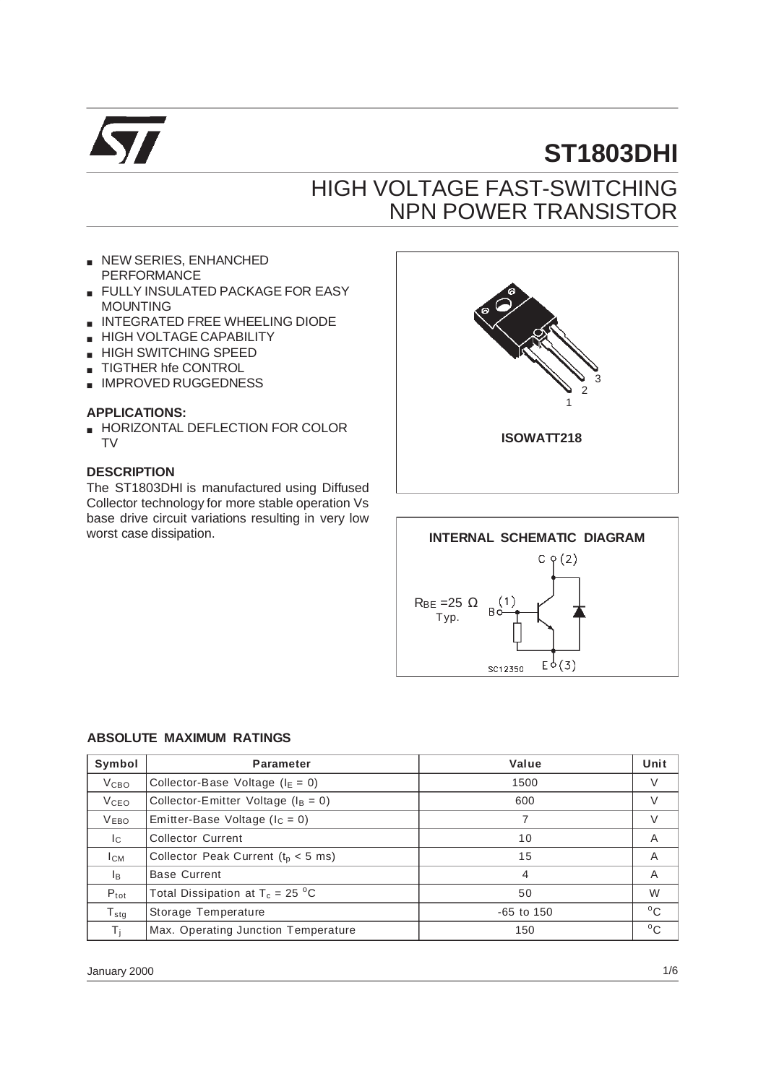

# **ST1803DHI**

## HIGH VOLTAGE FAST-SWITCHING NPN POWER TRANSISTOR

- NEW SERIES, ENHANCHED PERFORMANCE
- FULLY INSULATED PACKAGE FOR EASY MOUNTING
- INTEGRATED FREE WHEELING DIODE
- **HIGH VOLTAGE CAPABILITY**
- HIGH SWITCHING SPEED
- **TIGTHER hfe CONTROL**
- IMPROVED RUGGEDNESS

#### **APPLICATIONS:**

**B** HORIZONTAL DEFLECTION FOR COLOR TV

#### **DESCRIPTION**

The ST1803DHI is manufactured using Diffused Collector technology for more stable operation Vs base drive circuit variations resulting in very low worst case dissipation.





#### **ABSOLUTE MAXIMUM RATINGS**

| Symbol           | <b>Parameter</b>                          | Value        | Unit         |
|------------------|-------------------------------------------|--------------|--------------|
| V <sub>CBO</sub> | Collector-Base Voltage ( $I_E = 0$ )      | 1500         | V            |
| <b>V</b> ceo     | Collector-Emitter Voltage ( $I_B = 0$ )   | 600          |              |
| <b>VEBO</b>      | Emitter-Base Voltage ( $I_c = 0$ )        |              | $\vee$       |
| Ic.              | <b>Collector Current</b>                  | 10           | A            |
| Ісм              | Collector Peak Current ( $tD < 5$ ms)     | 15           | A            |
| Iв.              | <b>Base Current</b>                       | 4            | A            |
| $P_{\text{tot}}$ | Total Dissipation at $T_c = 25 \degree C$ | 50           | W            |
| $T_{\text{stq}}$ | Storage Temperature                       | $-65$ to 150 | $^{\circ}$ C |
| Τi               | Max. Operating Junction Temperature       | 150          | $^{\circ}$ C |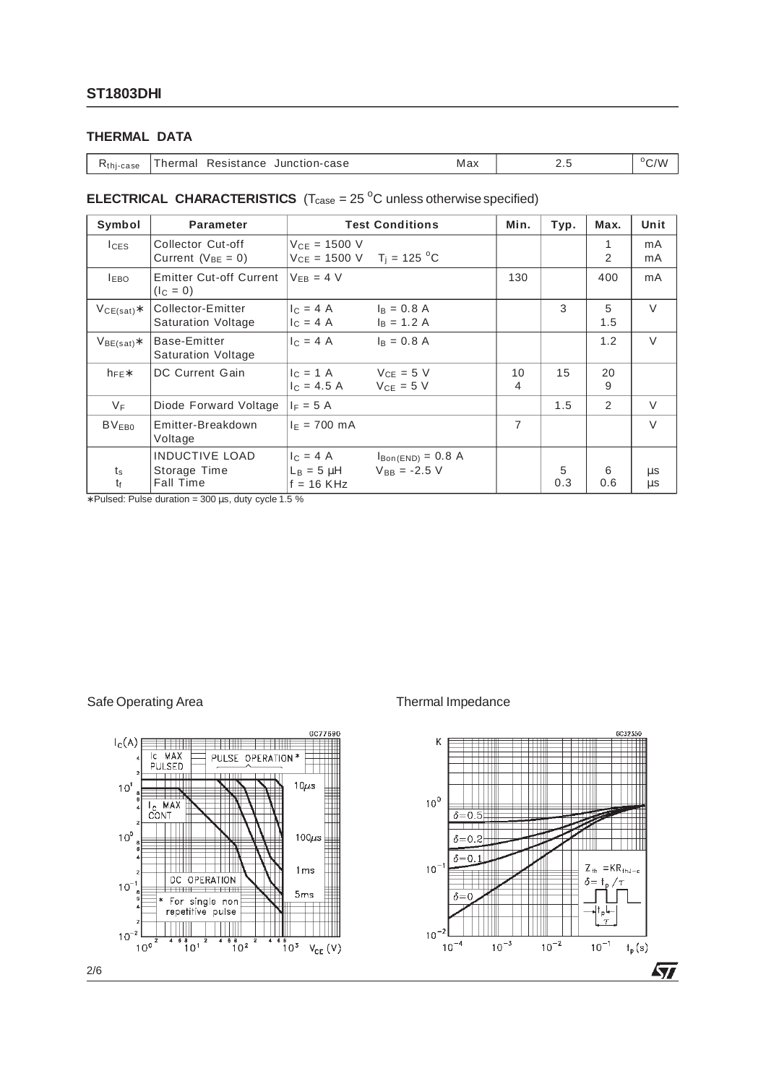#### **THERMAL DATA**

| Kthj-case | Resistance Junction-case<br>Thermal | Max |  | $\gamma_{\Lambda}$ |
|-----------|-------------------------------------|-----|--|--------------------|
|-----------|-------------------------------------|-----|--|--------------------|

## **ELECTRICAL CHARACTERISTICS**  $(T_{\text{case}} = 25 \degree C \text{ unless otherwise specified})$

| Symbol                     | <b>Parameter</b>                                          | <b>Test Conditions</b>                                                                               | Min.    | Typ.     | Max.     | Unit               |
|----------------------------|-----------------------------------------------------------|------------------------------------------------------------------------------------------------------|---------|----------|----------|--------------------|
| <b>ICES</b>                | Collector Cut-off<br>Current ( $V_{BE} = 0$ )             | $V_{CE} = 1500 V$<br>$V_{CE} = 1500 \text{ V}$ T <sub>i</sub> = 125 <sup>o</sup> C                   |         |          | 1<br>2   | mA<br>mA           |
| <b>LEBO</b>                | <b>Emitter Cut-off Current</b><br>$(IC = 0)$              | $V_{FB} = 4 V$                                                                                       | 130     |          | 400      | mA                 |
| $VCE(sat)$ *               | Collector-Emitter<br><b>Saturation Voltage</b>            | $c = 4A$<br>$I_B = 0.8 A$<br>$I_B = 1.2 A$<br>$c = 4 A$                                              |         | 3        | 5<br>1.5 | $\vee$             |
| $V_{BE(sat)}$ *            | Base-Emitter<br><b>Saturation Voltage</b>                 | $I_C = 4 A$<br>$I_B = 0.8 A$                                                                         |         |          | 1.2      | $\vee$             |
| $h_{\text{FE}}$            | DC Current Gain                                           | $V_{CE} = 5 V$<br>$c = 1 \text{ A}$<br>$V_{CE} = 5 V$<br>$I_C = 4.5 A$                               | 10<br>4 | 15       | 20<br>9  |                    |
| $V_F$                      | Diode Forward Voltage                                     | $I_F = 5 A$                                                                                          |         | 1.5      | 2        | V                  |
| BV <sub>EB0</sub>          | Emitter-Breakdown<br>Voltage                              | $I_F = 700$ mA                                                                                       | 7       |          |          | $\vee$             |
| $t_{\rm s}$<br>$t_{\rm f}$ | <b>INDUCTIVE LOAD</b><br>Storage Time<br><b>Fall Time</b> | $I_C = 4 A$<br>$I_{\text{Bon(END)}} = 0.8$ A<br>$V_{BB} = -2.5 V$<br>$L_B = 5 \mu H$<br>$f = 16$ KHz |         | 5<br>0.3 | 6<br>0.6 | $\mu$ s<br>$\mu$ s |

∗ Pulsed: Pulse duration = 300 µs, duty cycle 1.5 %

#### Safe Operating Area Thermal Impedance



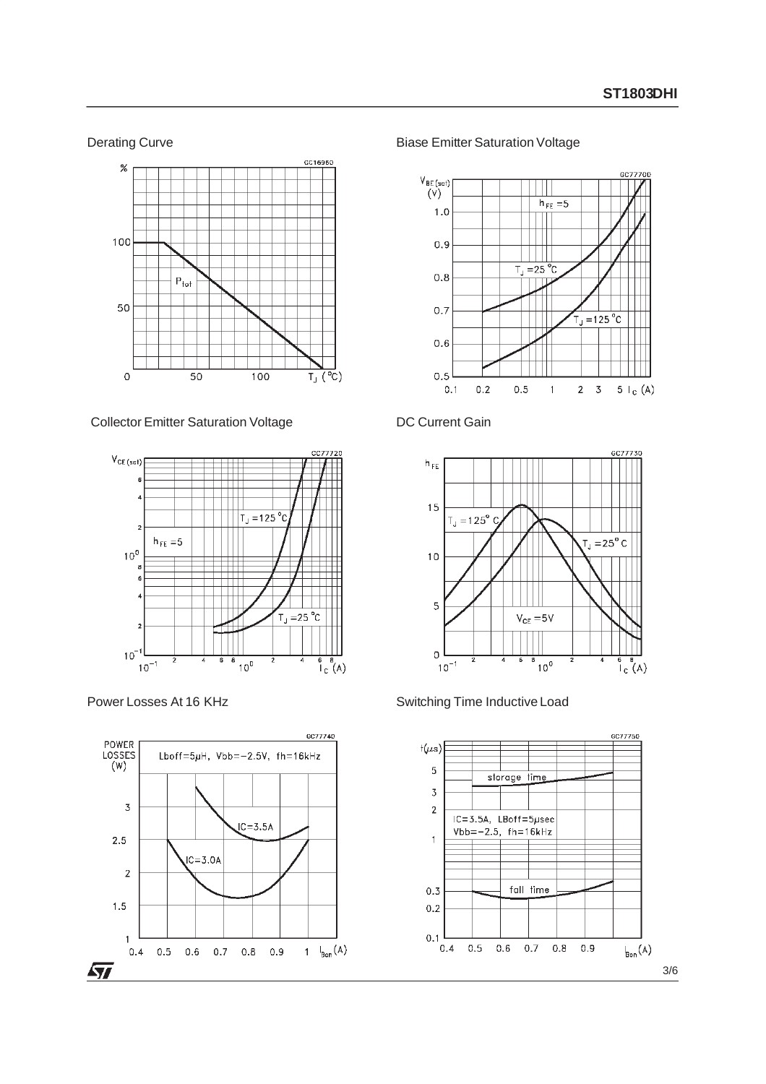#### Derating Curve



Collector Emitter Saturation Voltage







Biase Emitter Saturation Voltage



### DC Current Gain





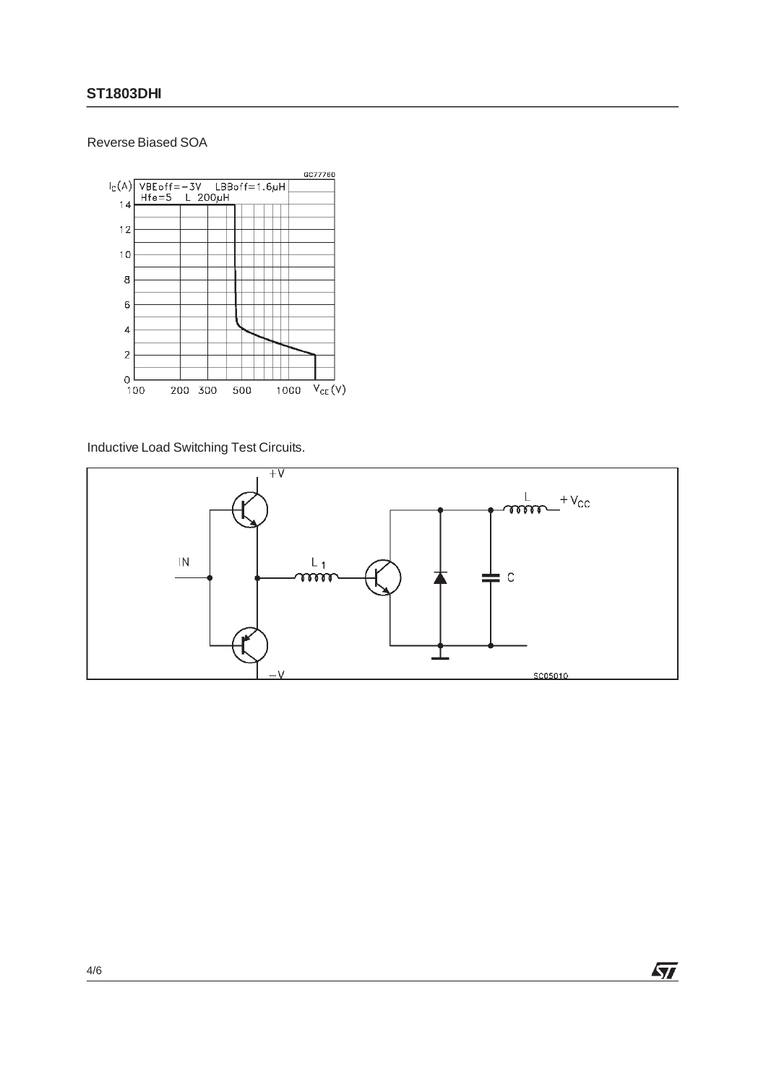### Reverse Biased SOA



Inductive Load Switching Test Circuits.

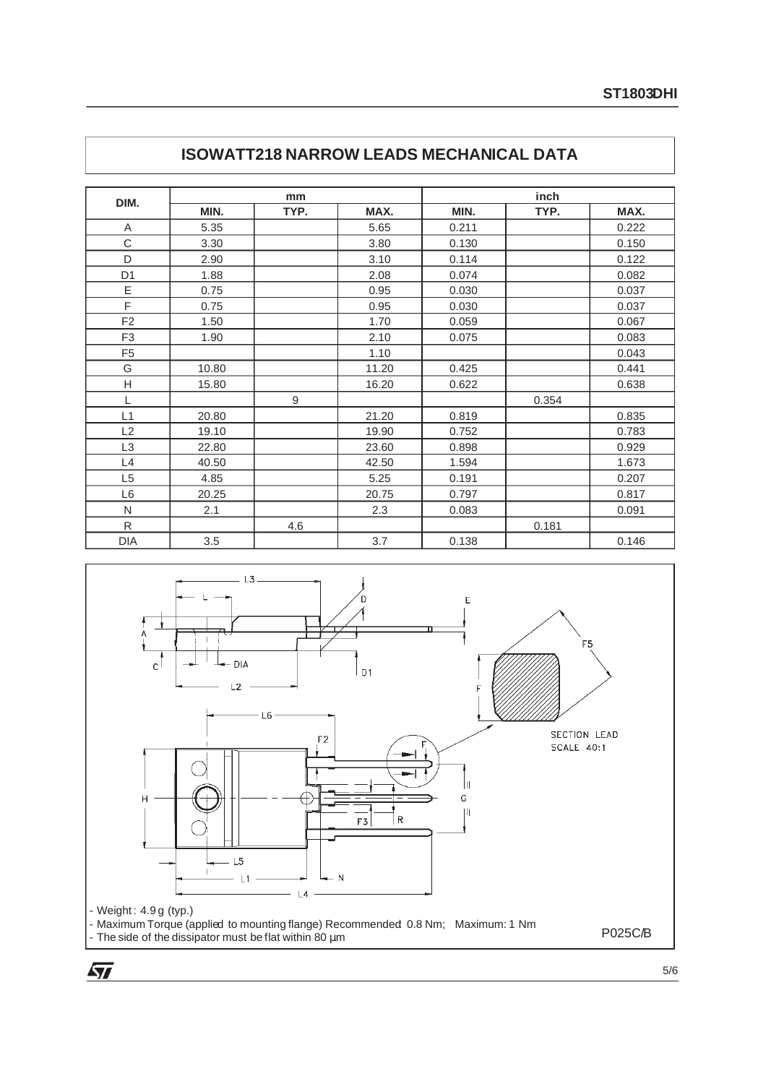|                | mm    |      | inch  |       |       |       |
|----------------|-------|------|-------|-------|-------|-------|
| DIM.           | MIN.  | TYP. | MAX.  | MIN.  | TYP.  | MAX.  |
| A              | 5.35  |      | 5.65  | 0.211 |       | 0.222 |
| C              | 3.30  |      | 3.80  | 0.130 |       | 0.150 |
| D              | 2.90  |      | 3.10  | 0.114 |       | 0.122 |
| D <sub>1</sub> | 1.88  |      | 2.08  | 0.074 |       | 0.082 |
| Ε              | 0.75  |      | 0.95  | 0.030 |       | 0.037 |
| F              | 0.75  |      | 0.95  | 0.030 |       | 0.037 |
| F <sub>2</sub> | 1.50  |      | 1.70  | 0.059 |       | 0.067 |
| F <sub>3</sub> | 1.90  |      | 2.10  | 0.075 |       | 0.083 |
| F <sub>5</sub> |       |      | 1.10  |       |       | 0.043 |
| G              | 10.80 |      | 11.20 | 0.425 |       | 0.441 |
| Н              | 15.80 |      | 16.20 | 0.622 |       | 0.638 |
| L              |       | 9    |       |       | 0.354 |       |
| L1             | 20.80 |      | 21.20 | 0.819 |       | 0.835 |
| L2             | 19.10 |      | 19.90 | 0.752 |       | 0.783 |
| L <sub>3</sub> | 22.80 |      | 23.60 | 0.898 |       | 0.929 |
| L4             | 40.50 |      | 42.50 | 1.594 |       | 1.673 |
| L <sub>5</sub> | 4.85  |      | 5.25  | 0.191 |       | 0.207 |
| L <sub>6</sub> | 20.25 |      | 20.75 | 0.797 |       | 0.817 |
| N              | 2.1   |      | 2.3   | 0.083 |       | 0.091 |
| $\mathsf{R}$   |       | 4.6  |       |       | 0.181 |       |
| <b>DIA</b>     | 3.5   |      | 3.7   | 0.138 |       | 0.146 |

## **ISOWATT218 NARROW LEADS MECHANICAL DATA**